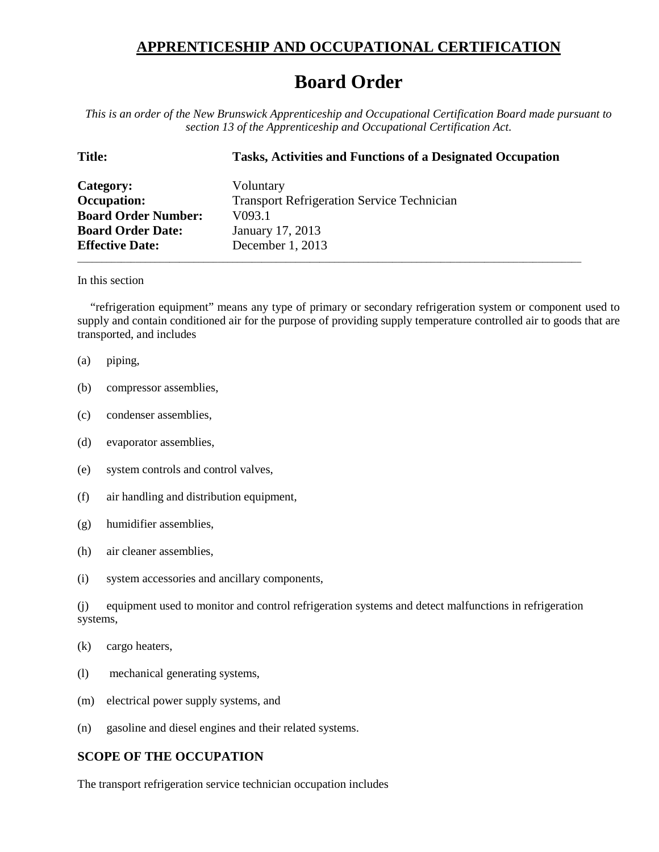## **APPRENTICESHIP AND OCCUPATIONAL CERTIFICATION**

## **Board Order**

*This is an order of the New Brunswick Apprenticeship and Occupational Certification Board made pursuant to section 13 of the Apprenticeship and Occupational Certification Act.*

| <b>Title:</b>              | <b>Tasks, Activities and Functions of a Designated Occupation</b> |
|----------------------------|-------------------------------------------------------------------|
| Category:                  | Voluntary                                                         |
| <b>Occupation:</b>         | <b>Transport Refrigeration Service Technician</b>                 |
| <b>Board Order Number:</b> | V <sub>093.1</sub>                                                |
| <b>Board Order Date:</b>   | January 17, 2013                                                  |
| <b>Effective Date:</b>     | December 1, 2013                                                  |
|                            |                                                                   |

## In this section

"refrigeration equipment" means any type of primary or secondary refrigeration system or component used to supply and contain conditioned air for the purpose of providing supply temperature controlled air to goods that are transported, and includes

- (a) piping,
- (b) compressor assemblies,
- (c) condenser assemblies,
- (d) evaporator assemblies,
- (e) system controls and control valves,
- (f) air handling and distribution equipment,
- (g) humidifier assemblies,
- (h) air cleaner assemblies,
- (i) system accessories and ancillary components,

(j) equipment used to monitor and control refrigeration systems and detect malfunctions in refrigeration systems,

- (l) mechanical generating systems,
- (m) electrical power supply systems, and
- (n) gasoline and diesel engines and their related systems.

## **SCOPE OF THE OCCUPATION**

The transport refrigeration service technician occupation includes

<sup>(</sup>k) cargo heaters,